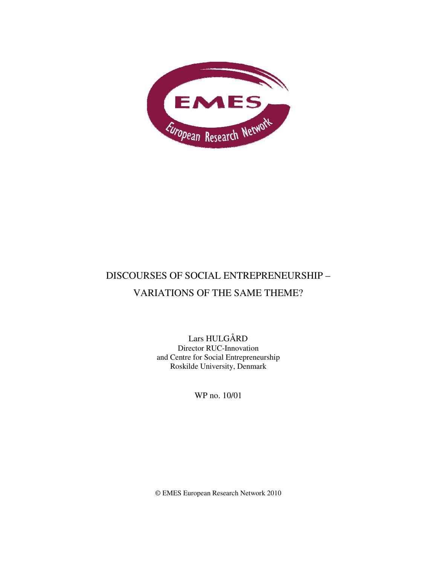

# DISCOURSES OF SOCIAL ENTREPRENEURSHIP – VARIATIONS OF THE SAME THEME?

Lars HULGÅRD Director RUC-Innovation and Centre for Social Entrepreneurship Roskilde University, Denmark

WP no. 10/01

© EMES European Research Network 2010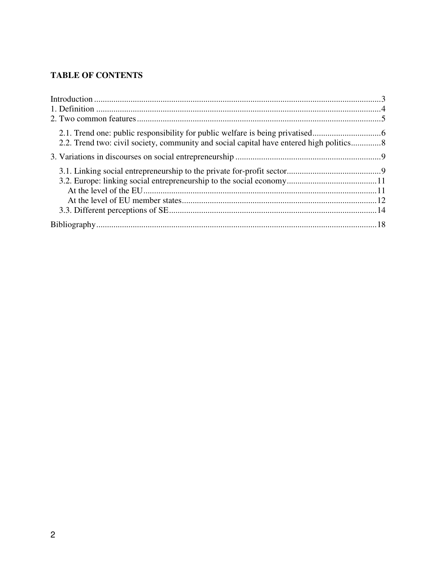## **TABLE OF CONTENTS**

| 2.1. Trend one: public responsibility for public welfare is being privatised             |  |
|------------------------------------------------------------------------------------------|--|
| 2.2. Trend two: civil society, community and social capital have entered high politics 8 |  |
|                                                                                          |  |
|                                                                                          |  |
|                                                                                          |  |
|                                                                                          |  |
|                                                                                          |  |
|                                                                                          |  |
|                                                                                          |  |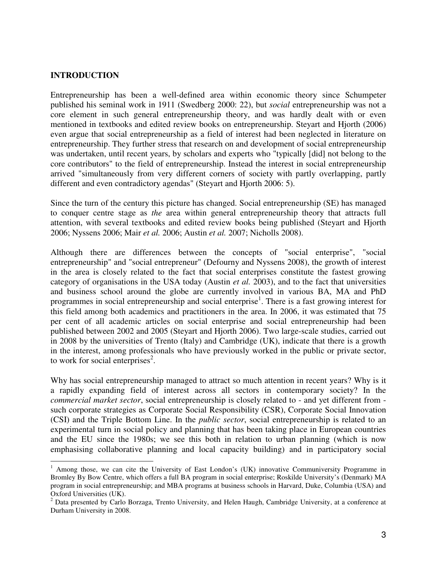#### **INTRODUCTION**

 $\overline{a}$ 

Entrepreneurship has been a well-defined area within economic theory since Schumpeter published his seminal work in 1911 (Swedberg 2000: 22), but *social* entrepreneurship was not a core element in such general entrepreneurship theory, and was hardly dealt with or even mentioned in textbooks and edited review books on entrepreneurship. Steyart and Hjorth (2006) even argue that social entrepreneurship as a field of interest had been neglected in literature on entrepreneurship. They further stress that research on and development of social entrepreneurship was undertaken, until recent years, by scholars and experts who "typically [did] not belong to the core contributors" to the field of entrepreneurship. Instead the interest in social entrepreneurship arrived "simultaneously from very different corners of society with partly overlapping, partly different and even contradictory agendas" (Steyart and Hjorth 2006: 5).

Since the turn of the century this picture has changed. Social entrepreneurship (SE) has managed to conquer centre stage as *the* area within general entrepreneurship theory that attracts full attention, with several textbooks and edited review books being published (Steyart and Hjorth 2006; Nyssens 2006; Mair *et al.* 2006; Austin *et al.* 2007; Nicholls 2008).

Although there are differences between the concepts of "social enterprise", "social entrepreneurship" and "social entrepreneur" (Defourny and Nyssens 2008), the growth of interest in the area is closely related to the fact that social enterprises constitute the fastest growing category of organisations in the USA today (Austin *et al.* 2003), and to the fact that universities and business school around the globe are currently involved in various BA, MA and PhD programmes in social entrepreneurship and social enterprise<sup>1</sup>. There is a fast growing interest for this field among both academics and practitioners in the area. In 2006, it was estimated that 75 per cent of all academic articles on social enterprise and social entrepreneurship had been published between 2002 and 2005 (Steyart and Hjorth 2006). Two large-scale studies, carried out in 2008 by the universities of Trento (Italy) and Cambridge (UK), indicate that there is a growth in the interest, among professionals who have previously worked in the public or private sector, to work for social enterprises<sup>2</sup>.

Why has social entrepreneurship managed to attract so much attention in recent years? Why is it a rapidly expanding field of interest across all sectors in contemporary society? In the *commercial market sector*, social entrepreneurship is closely related to - and yet different from such corporate strategies as Corporate Social Responsibility (CSR), Corporate Social Innovation (CSI) and the Triple Bottom Line. In the *public sector*, social entrepreneurship is related to an experimental turn in social policy and planning that has been taking place in European countries and the EU since the 1980s; we see this both in relation to urban planning (which is now emphasising collaborative planning and local capacity building) and in participatory social

<sup>&</sup>lt;sup>1</sup> Among those, we can cite the University of East London's (UK) innovative Communiversity Programme in Bromley By Bow Centre, which offers a full BA program in social enterprise; Roskilde University's (Denmark) MA program in social entrepreneurship; and MBA programs at business schools in Harvard, Duke, Columbia (USA) and Oxford Universities (UK).

 $2$  Data presented by Carlo Borzaga, Trento University, and Helen Haugh, Cambridge University, at a conference at Durham University in 2008.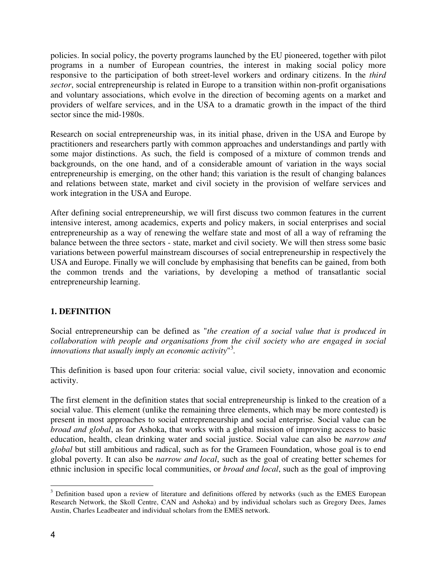policies. In social policy, the poverty programs launched by the EU pioneered, together with pilot programs in a number of European countries, the interest in making social policy more responsive to the participation of both street-level workers and ordinary citizens. In the *third sector*, social entrepreneurship is related in Europe to a transition within non-profit organisations and voluntary associations, which evolve in the direction of becoming agents on a market and providers of welfare services, and in the USA to a dramatic growth in the impact of the third sector since the mid-1980s.

Research on social entrepreneurship was, in its initial phase, driven in the USA and Europe by practitioners and researchers partly with common approaches and understandings and partly with some major distinctions. As such, the field is composed of a mixture of common trends and backgrounds, on the one hand, and of a considerable amount of variation in the ways social entrepreneurship is emerging, on the other hand; this variation is the result of changing balances and relations between state, market and civil society in the provision of welfare services and work integration in the USA and Europe.

After defining social entrepreneurship, we will first discuss two common features in the current intensive interest, among academics, experts and policy makers, in social enterprises and social entrepreneurship as a way of renewing the welfare state and most of all a way of reframing the balance between the three sectors - state, market and civil society. We will then stress some basic variations between powerful mainstream discourses of social entrepreneurship in respectively the USA and Europe. Finally we will conclude by emphasising that benefits can be gained, from both the common trends and the variations, by developing a method of transatlantic social entrepreneurship learning.

## **1. DEFINITION**

Social entrepreneurship can be defined as "*the creation of a social value that is produced in collaboration with people and organisations from the civil society who are engaged in social innovations that usually imply an economic activity*" 3 *.*

This definition is based upon four criteria: social value, civil society, innovation and economic activity.

The first element in the definition states that social entrepreneurship is linked to the creation of a social value. This element (unlike the remaining three elements, which may be more contested) is present in most approaches to social entrepreneurship and social enterprise. Social value can be *broad and global*, as for Ashoka, that works with a global mission of improving access to basic education, health, clean drinking water and social justice. Social value can also be *narrow and global* but still ambitious and radical, such as for the Grameen Foundation, whose goal is to end global poverty. It can also be *narrow and local*, such as the goal of creating better schemes for ethnic inclusion in specific local communities, or *broad and local*, such as the goal of improving

<sup>&</sup>lt;sup>3</sup> Definition based upon a review of literature and definitions offered by networks (such as the EMES European Research Network, the Skoll Centre, CAN and Ashoka) and by individual scholars such as Gregory Dees, James Austin, Charles Leadbeater and individual scholars from the EMES network.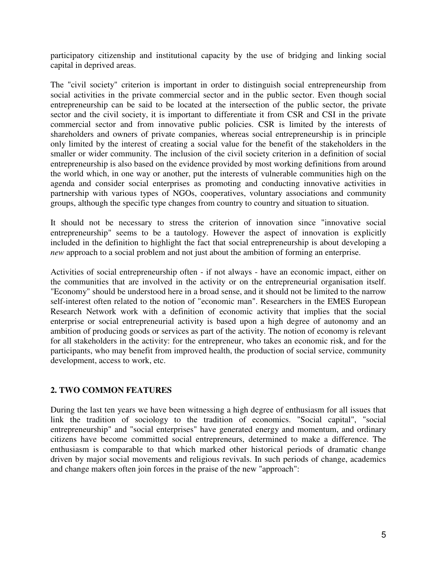participatory citizenship and institutional capacity by the use of bridging and linking social capital in deprived areas.

The "civil society" criterion is important in order to distinguish social entrepreneurship from social activities in the private commercial sector and in the public sector. Even though social entrepreneurship can be said to be located at the intersection of the public sector, the private sector and the civil society, it is important to differentiate it from CSR and CSI in the private commercial sector and from innovative public policies. CSR is limited by the interests of shareholders and owners of private companies, whereas social entrepreneurship is in principle only limited by the interest of creating a social value for the benefit of the stakeholders in the smaller or wider community. The inclusion of the civil society criterion in a definition of social entrepreneurship is also based on the evidence provided by most working definitions from around the world which, in one way or another, put the interests of vulnerable communities high on the agenda and consider social enterprises as promoting and conducting innovative activities in partnership with various types of NGOs, cooperatives, voluntary associations and community groups, although the specific type changes from country to country and situation to situation.

It should not be necessary to stress the criterion of innovation since "innovative social entrepreneurship" seems to be a tautology. However the aspect of innovation is explicitly included in the definition to highlight the fact that social entrepreneurship is about developing a *new* approach to a social problem and not just about the ambition of forming an enterprise.

Activities of social entrepreneurship often - if not always - have an economic impact, either on the communities that are involved in the activity or on the entrepreneurial organisation itself. "Economy" should be understood here in a broad sense, and it should not be limited to the narrow self-interest often related to the notion of "economic man". Researchers in the EMES European Research Network work with a definition of economic activity that implies that the social enterprise or social entrepreneurial activity is based upon a high degree of autonomy and an ambition of producing goods or services as part of the activity. The notion of economy is relevant for all stakeholders in the activity: for the entrepreneur, who takes an economic risk, and for the participants, who may benefit from improved health, the production of social service, community development, access to work, etc.

## **2. TWO COMMON FEATURES**

During the last ten years we have been witnessing a high degree of enthusiasm for all issues that link the tradition of sociology to the tradition of economics. "Social capital", "social entrepreneurship" and "social enterprises" have generated energy and momentum, and ordinary citizens have become committed social entrepreneurs, determined to make a difference. The enthusiasm is comparable to that which marked other historical periods of dramatic change driven by major social movements and religious revivals. In such periods of change, academics and change makers often join forces in the praise of the new "approach":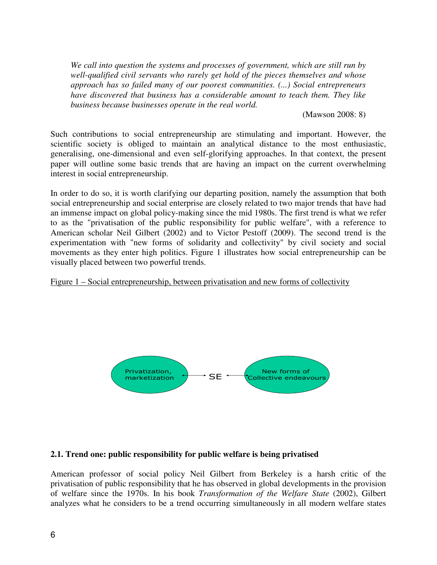*We call into question the systems and processes of government, which are still run by well-qualified civil servants who rarely get hold of the pieces themselves and whose approach has so failed many of our poorest communities. (...) Social entrepreneurs have discovered that business has a considerable amount to teach them. They like business because businesses operate in the real world.* 

(Mawson 2008: 8)

Such contributions to social entrepreneurship are stimulating and important. However, the scientific society is obliged to maintain an analytical distance to the most enthusiastic, generalising, one-dimensional and even self-glorifying approaches. In that context, the present paper will outline some basic trends that are having an impact on the current overwhelming interest in social entrepreneurship.

In order to do so, it is worth clarifying our departing position, namely the assumption that both social entrepreneurship and social enterprise are closely related to two major trends that have had an immense impact on global policy-making since the mid 1980s. The first trend is what we refer to as the "privatisation of the public responsibility for public welfare", with a reference to American scholar Neil Gilbert (2002) and to Victor Pestoff (2009). The second trend is the experimentation with "new forms of solidarity and collectivity" by civil society and social movements as they enter high politics. Figure 1 illustrates how social entrepreneurship can be visually placed between two powerful trends.

Figure 1 – Social entrepreneurship, between privatisation and new forms of collectivity



#### **2.1. Trend one: public responsibility for public welfare is being privatised**

American professor of social policy Neil Gilbert from Berkeley is a harsh critic of the privatisation of public responsibility that he has observed in global developments in the provision of welfare since the 1970s. In his book *Transformation of the Welfare State* (2002), Gilbert analyzes what he considers to be a trend occurring simultaneously in all modern welfare states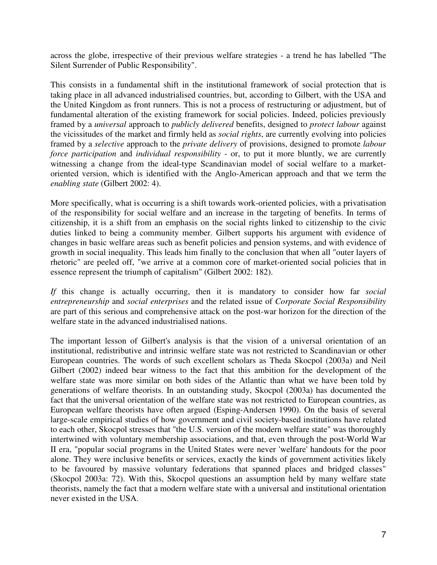across the globe, irrespective of their previous welfare strategies - a trend he has labelled "The Silent Surrender of Public Responsibility".

This consists in a fundamental shift in the institutional framework of social protection that is taking place in all advanced industrialised countries, but, according to Gilbert, with the USA and the United Kingdom as front runners. This is not a process of restructuring or adjustment, but of fundamental alteration of the existing framework for social policies. Indeed, policies previously framed by a *universal* approach to *publicly delivered* benefits, designed to *protect labour* against the vicissitudes of the market and firmly held as *social rights*, are currently evolving into policies framed by a *selective* approach to the *private delivery* of provisions, designed to promote *labour force participation* and *individual responsibility* - or, to put it more bluntly, we are currently witnessing a change from the ideal-type Scandinavian model of social welfare to a marketoriented version, which is identified with the Anglo-American approach and that we term the *enabling state* (Gilbert 2002: 4).

More specifically, what is occurring is a shift towards work-oriented policies, with a privatisation of the responsibility for social welfare and an increase in the targeting of benefits. In terms of citizenship, it is a shift from an emphasis on the social rights linked to citizenship to the civic duties linked to being a community member. Gilbert supports his argument with evidence of changes in basic welfare areas such as benefit policies and pension systems, and with evidence of growth in social inequality. This leads him finally to the conclusion that when all "outer layers of rhetoric" are peeled off, "we arrive at a common core of market-oriented social policies that in essence represent the triumph of capitalism" (Gilbert 2002: 182).

*If* this change is actually occurring, then it is mandatory to consider how far *social entrepreneurship* and *social enterprises* and the related issue of *Corporate Social Responsibility* are part of this serious and comprehensive attack on the post-war horizon for the direction of the welfare state in the advanced industrialised nations.

The important lesson of Gilbert's analysis is that the vision of a universal orientation of an institutional, redistributive and intrinsic welfare state was not restricted to Scandinavian or other European countries. The words of such excellent scholars as Theda Skocpol (2003a) and Neil Gilbert (2002) indeed bear witness to the fact that this ambition for the development of the welfare state was more similar on both sides of the Atlantic than what we have been told by generations of welfare theorists. In an outstanding study, Skocpol (2003a) has documented the fact that the universal orientation of the welfare state was not restricted to European countries, as European welfare theorists have often argued (Esping-Andersen 1990). On the basis of several large-scale empirical studies of how government and civil society-based institutions have related to each other, Skocpol stresses that "the U.S. version of the modern welfare state" was thoroughly intertwined with voluntary membership associations, and that, even through the post-World War II era, "popular social programs in the United States were never 'welfare' handouts for the poor alone. They were inclusive benefits or services, exactly the kinds of government activities likely to be favoured by massive voluntary federations that spanned places and bridged classes" (Skocpol 2003a: 72). With this, Skocpol questions an assumption held by many welfare state theorists, namely the fact that a modern welfare state with a universal and institutional orientation never existed in the USA.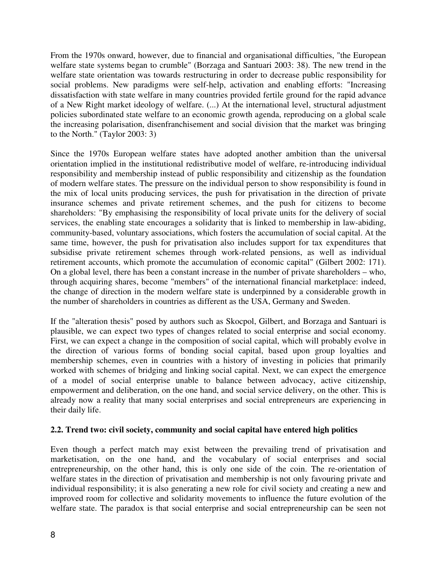From the 1970s onward, however, due to financial and organisational difficulties, "the European welfare state systems began to crumble" (Borzaga and Santuari 2003: 38). The new trend in the welfare state orientation was towards restructuring in order to decrease public responsibility for social problems. New paradigms were self-help, activation and enabling efforts: "Increasing dissatisfaction with state welfare in many countries provided fertile ground for the rapid advance of a New Right market ideology of welfare. (...) At the international level, structural adjustment policies subordinated state welfare to an economic growth agenda, reproducing on a global scale the increasing polarisation, disenfranchisement and social division that the market was bringing to the North." (Taylor 2003: 3)

Since the 1970s European welfare states have adopted another ambition than the universal orientation implied in the institutional redistributive model of welfare, re-introducing individual responsibility and membership instead of public responsibility and citizenship as the foundation of modern welfare states. The pressure on the individual person to show responsibility is found in the mix of local units producing services, the push for privatisation in the direction of private insurance schemes and private retirement schemes, and the push for citizens to become shareholders: "By emphasising the responsibility of local private units for the delivery of social services, the enabling state encourages a solidarity that is linked to membership in law-abiding, community-based, voluntary associations, which fosters the accumulation of social capital. At the same time, however, the push for privatisation also includes support for tax expenditures that subsidise private retirement schemes through work-related pensions, as well as individual retirement accounts, which promote the accumulation of economic capital" (Gilbert 2002: 171). On a global level, there has been a constant increase in the number of private shareholders – who, through acquiring shares, become "members" of the international financial marketplace: indeed, the change of direction in the modern welfare state is underpinned by a considerable growth in the number of shareholders in countries as different as the USA, Germany and Sweden.

If the "alteration thesis" posed by authors such as Skocpol, Gilbert, and Borzaga and Santuari is plausible, we can expect two types of changes related to social enterprise and social economy. First, we can expect a change in the composition of social capital, which will probably evolve in the direction of various forms of bonding social capital, based upon group loyalties and membership schemes, even in countries with a history of investing in policies that primarily worked with schemes of bridging and linking social capital. Next, we can expect the emergence of a model of social enterprise unable to balance between advocacy, active citizenship, empowerment and deliberation, on the one hand, and social service delivery, on the other. This is already now a reality that many social enterprises and social entrepreneurs are experiencing in their daily life.

## **2.2. Trend two: civil society, community and social capital have entered high politics**

Even though a perfect match may exist between the prevailing trend of privatisation and marketisation, on the one hand, and the vocabulary of social enterprises and social entrepreneurship, on the other hand, this is only one side of the coin. The re-orientation of welfare states in the direction of privatisation and membership is not only favouring private and individual responsibility; it is also generating a new role for civil society and creating a new and improved room for collective and solidarity movements to influence the future evolution of the welfare state. The paradox is that social enterprise and social entrepreneurship can be seen not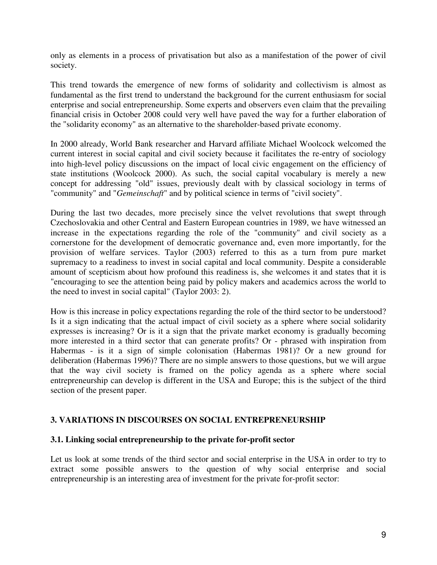only as elements in a process of privatisation but also as a manifestation of the power of civil society.

This trend towards the emergence of new forms of solidarity and collectivism is almost as fundamental as the first trend to understand the background for the current enthusiasm for social enterprise and social entrepreneurship. Some experts and observers even claim that the prevailing financial crisis in October 2008 could very well have paved the way for a further elaboration of the "solidarity economy" as an alternative to the shareholder-based private economy.

In 2000 already, World Bank researcher and Harvard affiliate Michael Woolcock welcomed the current interest in social capital and civil society because it facilitates the re-entry of sociology into high-level policy discussions on the impact of local civic engagement on the efficiency of state institutions (Woolcock 2000). As such, the social capital vocabulary is merely a new concept for addressing "old" issues, previously dealt with by classical sociology in terms of "community" and "*Gemeinschaft*" and by political science in terms of "civil society".

During the last two decades, more precisely since the velvet revolutions that swept through Czechoslovakia and other Central and Eastern European countries in 1989, we have witnessed an increase in the expectations regarding the role of the "community" and civil society as a cornerstone for the development of democratic governance and, even more importantly, for the provision of welfare services. Taylor (2003) referred to this as a turn from pure market supremacy to a readiness to invest in social capital and local community. Despite a considerable amount of scepticism about how profound this readiness is, she welcomes it and states that it is "encouraging to see the attention being paid by policy makers and academics across the world to the need to invest in social capital" (Taylor 2003: 2).

How is this increase in policy expectations regarding the role of the third sector to be understood? Is it a sign indicating that the actual impact of civil society as a sphere where social solidarity expresses is increasing? Or is it a sign that the private market economy is gradually becoming more interested in a third sector that can generate profits? Or - phrased with inspiration from Habermas - is it a sign of simple colonisation (Habermas 1981)? Or a new ground for deliberation (Habermas 1996)? There are no simple answers to those questions, but we will argue that the way civil society is framed on the policy agenda as a sphere where social entrepreneurship can develop is different in the USA and Europe; this is the subject of the third section of the present paper.

## **3. VARIATIONS IN DISCOURSES ON SOCIAL ENTREPRENEURSHIP**

## **3.1. Linking social entrepreneurship to the private for-profit sector**

Let us look at some trends of the third sector and social enterprise in the USA in order to try to extract some possible answers to the question of why social enterprise and social entrepreneurship is an interesting area of investment for the private for-profit sector: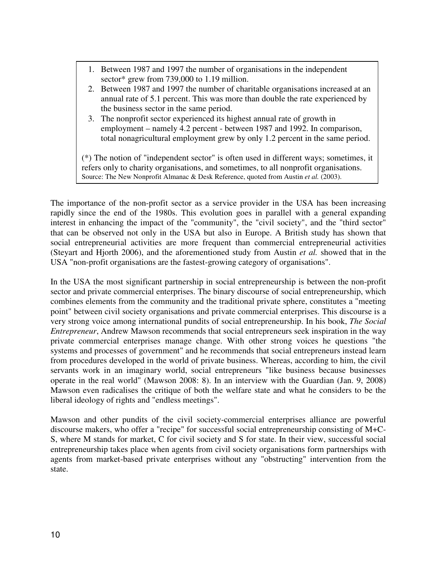- 1. Between 1987 and 1997 the number of organisations in the independent sector\* grew from 739,000 to 1.19 million.
- 2. Between 1987 and 1997 the number of charitable organisations increased at an annual rate of 5.1 percent. This was more than double the rate experienced by the business sector in the same period.
- 3. The nonprofit sector experienced its highest annual rate of growth in employment – namely 4.2 percent - between 1987 and 1992. In comparison, total nonagricultural employment grew by only 1.2 percent in the same period.

(\*) The notion of "independent sector" is often used in different ways; sometimes, it refers only to charity organisations, and sometimes, to all nonprofit organisations. Source: The New Nonprofit Almanac & Desk Reference, quoted from Austin *et al.* (2003).

The importance of the non-profit sector as a service provider in the USA has been increasing rapidly since the end of the 1980s. This evolution goes in parallel with a general expanding interest in enhancing the impact of the "community", the "civil society", and the "third sector" that can be observed not only in the USA but also in Europe. A British study has shown that social entrepreneurial activities are more frequent than commercial entrepreneurial activities (Steyart and Hjorth 2006), and the aforementioned study from Austin *et al.* showed that in the USA "non-profit organisations are the fastest-growing category of organisations".

In the USA the most significant partnership in social entrepreneurship is between the non-profit sector and private commercial enterprises. The binary discourse of social entrepreneurship, which combines elements from the community and the traditional private sphere, constitutes a "meeting point" between civil society organisations and private commercial enterprises. This discourse is a very strong voice among international pundits of social entrepreneurship. In his book, *The Social Entrepreneur*, Andrew Mawson recommends that social entrepreneurs seek inspiration in the way private commercial enterprises manage change. With other strong voices he questions "the systems and processes of government" and he recommends that social entrepreneurs instead learn from procedures developed in the world of private business. Whereas, according to him, the civil servants work in an imaginary world, social entrepreneurs "like business because businesses operate in the real world" (Mawson 2008: 8). In an interview with the Guardian (Jan. 9, 2008) Mawson even radicalises the critique of both the welfare state and what he considers to be the liberal ideology of rights and "endless meetings".

Mawson and other pundits of the civil society-commercial enterprises alliance are powerful discourse makers, who offer a "recipe" for successful social entrepreneurship consisting of M+C-S, where M stands for market, C for civil society and S for state. In their view, successful social entrepreneurship takes place when agents from civil society organisations form partnerships with agents from market-based private enterprises without any "obstructing" intervention from the state.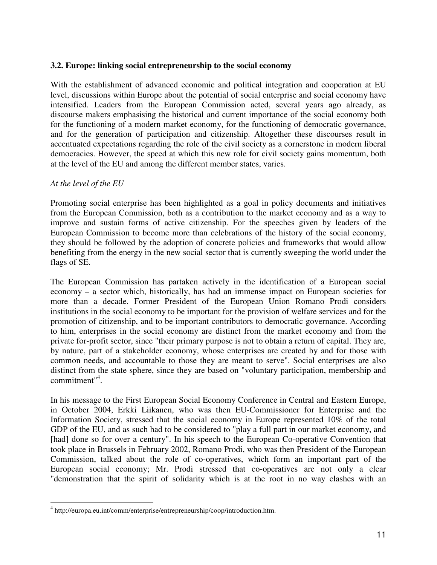#### **3.2. Europe: linking social entrepreneurship to the social economy**

With the establishment of advanced economic and political integration and cooperation at EU level, discussions within Europe about the potential of social enterprise and social economy have intensified. Leaders from the European Commission acted, several years ago already, as discourse makers emphasising the historical and current importance of the social economy both for the functioning of a modern market economy, for the functioning of democratic governance, and for the generation of participation and citizenship. Altogether these discourses result in accentuated expectations regarding the role of the civil society as a cornerstone in modern liberal democracies. However, the speed at which this new role for civil society gains momentum, both at the level of the EU and among the different member states, varies.

#### *At the level of the EU*

 $\overline{a}$ 

Promoting social enterprise has been highlighted as a goal in policy documents and initiatives from the European Commission, both as a contribution to the market economy and as a way to improve and sustain forms of active citizenship. For the speeches given by leaders of the European Commission to become more than celebrations of the history of the social economy, they should be followed by the adoption of concrete policies and frameworks that would allow benefiting from the energy in the new social sector that is currently sweeping the world under the flags of SE.

The European Commission has partaken actively in the identification of a European social economy – a sector which, historically, has had an immense impact on European societies for more than a decade. Former President of the European Union Romano Prodi considers institutions in the social economy to be important for the provision of welfare services and for the promotion of citizenship, and to be important contributors to democratic governance. According to him, enterprises in the social economy are distinct from the market economy and from the private for-profit sector, since "their primary purpose is not to obtain a return of capital. They are, by nature, part of a stakeholder economy, whose enterprises are created by and for those with common needs, and accountable to those they are meant to serve". Social enterprises are also distinct from the state sphere, since they are based on "voluntary participation, membership and commitment"<sup>4</sup> .

In his message to the First European Social Economy Conference in Central and Eastern Europe, in October 2004, Erkki Liikanen, who was then EU-Commissioner for Enterprise and the Information Society, stressed that the social economy in Europe represented 10% of the total GDP of the EU, and as such had to be considered to "play a full part in our market economy, and [had] done so for over a century". In his speech to the European Co-operative Convention that took place in Brussels in February 2002, Romano Prodi, who was then President of the European Commission, talked about the role of co-operatives, which form an important part of the European social economy; Mr. Prodi stressed that co-operatives are not only a clear "demonstration that the spirit of solidarity which is at the root in no way clashes with an

<sup>4</sup> http://europa.eu.int/comm/enterprise/entrepreneurship/coop/introduction.htm.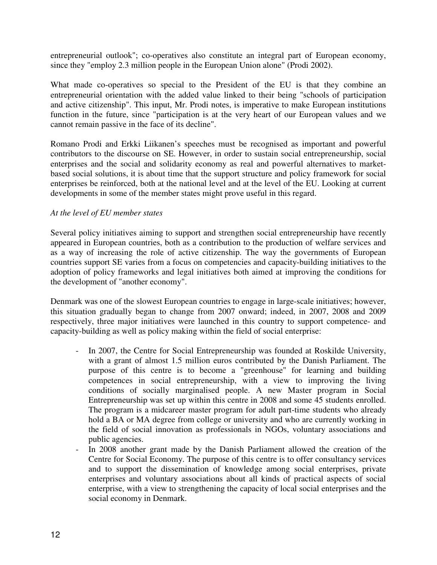entrepreneurial outlook"; co-operatives also constitute an integral part of European economy, since they "employ 2.3 million people in the European Union alone" (Prodi 2002).

What made co-operatives so special to the President of the EU is that they combine an entrepreneurial orientation with the added value linked to their being "schools of participation and active citizenship". This input, Mr. Prodi notes, is imperative to make European institutions function in the future, since "participation is at the very heart of our European values and we cannot remain passive in the face of its decline".

Romano Prodi and Erkki Liikanen's speeches must be recognised as important and powerful contributors to the discourse on SE. However, in order to sustain social entrepreneurship, social enterprises and the social and solidarity economy as real and powerful alternatives to marketbased social solutions, it is about time that the support structure and policy framework for social enterprises be reinforced, both at the national level and at the level of the EU. Looking at current developments in some of the member states might prove useful in this regard.

## *At the level of EU member states*

Several policy initiatives aiming to support and strengthen social entrepreneurship have recently appeared in European countries, both as a contribution to the production of welfare services and as a way of increasing the role of active citizenship. The way the governments of European countries support SE varies from a focus on competencies and capacity-building initiatives to the adoption of policy frameworks and legal initiatives both aimed at improving the conditions for the development of "another economy".

Denmark was one of the slowest European countries to engage in large-scale initiatives; however, this situation gradually began to change from 2007 onward; indeed, in 2007, 2008 and 2009 respectively, three major initiatives were launched in this country to support competence- and capacity-building as well as policy making within the field of social enterprise:

- In 2007, the Centre for Social Entrepreneurship was founded at Roskilde University, with a grant of almost 1.5 million euros contributed by the Danish Parliament. The purpose of this centre is to become a "greenhouse" for learning and building competences in social entrepreneurship, with a view to improving the living conditions of socially marginalised people. A new Master program in Social Entrepreneurship was set up within this centre in 2008 and some 45 students enrolled. The program is a midcareer master program for adult part-time students who already hold a BA or MA degree from college or university and who are currently working in the field of social innovation as professionals in NGOs, voluntary associations and public agencies.
- In 2008 another grant made by the Danish Parliament allowed the creation of the Centre for Social Economy. The purpose of this centre is to offer consultancy services and to support the dissemination of knowledge among social enterprises, private enterprises and voluntary associations about all kinds of practical aspects of social enterprise, with a view to strengthening the capacity of local social enterprises and the social economy in Denmark.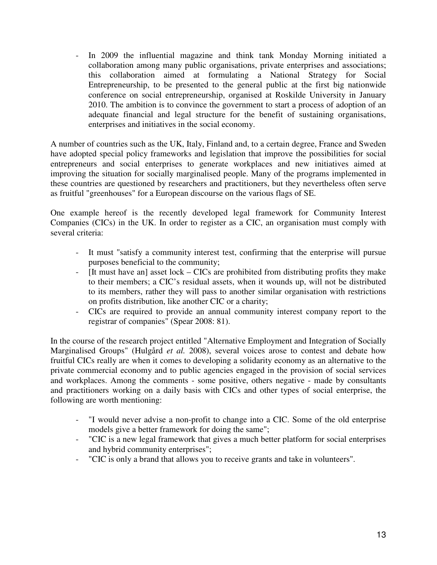- In 2009 the influential magazine and think tank Monday Morning initiated a collaboration among many public organisations, private enterprises and associations; this collaboration aimed at formulating a National Strategy for Social Entrepreneurship, to be presented to the general public at the first big nationwide conference on social entrepreneurship, organised at Roskilde University in January 2010. The ambition is to convince the government to start a process of adoption of an adequate financial and legal structure for the benefit of sustaining organisations, enterprises and initiatives in the social economy.

A number of countries such as the UK, Italy, Finland and, to a certain degree, France and Sweden have adopted special policy frameworks and legislation that improve the possibilities for social entrepreneurs and social enterprises to generate workplaces and new initiatives aimed at improving the situation for socially marginalised people. Many of the programs implemented in these countries are questioned by researchers and practitioners, but they nevertheless often serve as fruitful "greenhouses" for a European discourse on the various flags of SE.

One example hereof is the recently developed legal framework for Community Interest Companies (CICs) in the UK. In order to register as a CIC, an organisation must comply with several criteria:

- It must "satisfy a community interest test, confirming that the enterprise will pursue purposes beneficial to the community;
- [It must have an] asset lock CICs are prohibited from distributing profits they make to their members; a CIC's residual assets, when it wounds up, will not be distributed to its members, rather they will pass to another similar organisation with restrictions on profits distribution, like another CIC or a charity;
- CICs are required to provide an annual community interest company report to the registrar of companies" (Spear 2008: 81).

In the course of the research project entitled "Alternative Employment and Integration of Socially Marginalised Groups" (Hulgård *et al.* 2008), several voices arose to contest and debate how fruitful CICs really are when it comes to developing a solidarity economy as an alternative to the private commercial economy and to public agencies engaged in the provision of social services and workplaces. Among the comments - some positive, others negative - made by consultants and practitioners working on a daily basis with CICs and other types of social enterprise, the following are worth mentioning:

- "I would never advise a non-profit to change into a CIC. Some of the old enterprise models give a better framework for doing the same";
- "CIC is a new legal framework that gives a much better platform for social enterprises and hybrid community enterprises";
- "CIC is only a brand that allows you to receive grants and take in volunteers".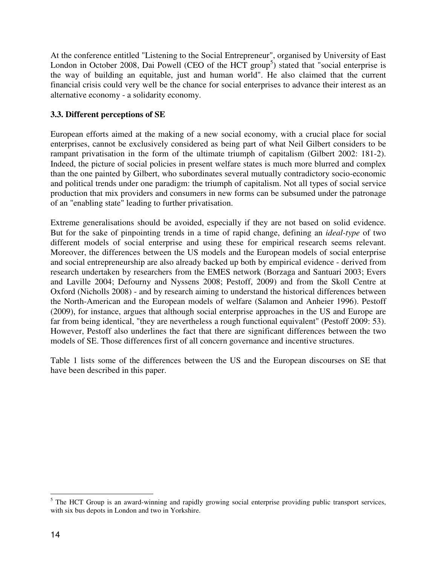At the conference entitled "Listening to the Social Entrepreneur", organised by University of East London in October 2008, Dai Powell (CEO of the HCT group<sup>5</sup>) stated that "social enterprise is the way of building an equitable, just and human world". He also claimed that the current financial crisis could very well be the chance for social enterprises to advance their interest as an alternative economy - a solidarity economy.

## **3.3. Different perceptions of SE**

European efforts aimed at the making of a new social economy, with a crucial place for social enterprises, cannot be exclusively considered as being part of what Neil Gilbert considers to be rampant privatisation in the form of the ultimate triumph of capitalism (Gilbert 2002: 181-2). Indeed, the picture of social policies in present welfare states is much more blurred and complex than the one painted by Gilbert, who subordinates several mutually contradictory socio-economic and political trends under one paradigm: the triumph of capitalism. Not all types of social service production that mix providers and consumers in new forms can be subsumed under the patronage of an "enabling state" leading to further privatisation.

Extreme generalisations should be avoided, especially if they are not based on solid evidence. But for the sake of pinpointing trends in a time of rapid change, defining an *ideal-type* of two different models of social enterprise and using these for empirical research seems relevant. Moreover, the differences between the US models and the European models of social enterprise and social entrepreneurship are also already backed up both by empirical evidence - derived from research undertaken by researchers from the EMES network (Borzaga and Santuari 2003; Evers and Laville 2004; Defourny and Nyssens 2008; Pestoff, 2009) and from the Skoll Centre at Oxford (Nicholls 2008) - and by research aiming to understand the historical differences between the North-American and the European models of welfare (Salamon and Anheier 1996). Pestoff (2009), for instance, argues that although social enterprise approaches in the US and Europe are far from being identical, "they are nevertheless a rough functional equivalent" (Pestoff 2009: 53). However, Pestoff also underlines the fact that there are significant differences between the two models of SE. Those differences first of all concern governance and incentive structures.

Table 1 lists some of the differences between the US and the European discourses on SE that have been described in this paper.

 $\overline{a}$ 

<sup>&</sup>lt;sup>5</sup> The HCT Group is an award-winning and rapidly growing social enterprise providing public transport services, with six bus depots in London and two in Yorkshire.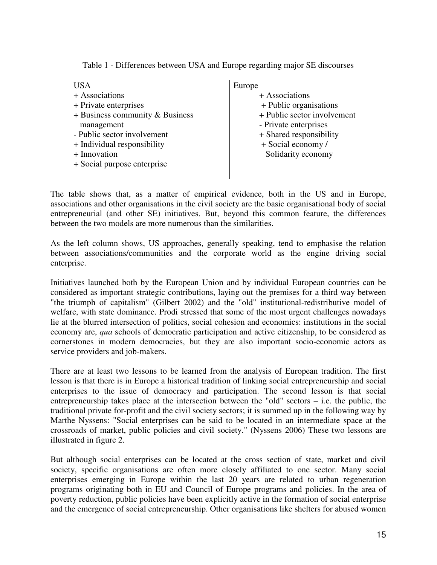|  | Table 1 - Differences between USA and Europe regarding major SE discourses |  |  |  |  |  |  |
|--|----------------------------------------------------------------------------|--|--|--|--|--|--|
|--|----------------------------------------------------------------------------|--|--|--|--|--|--|

| USA                               | Europe                      |
|-----------------------------------|-----------------------------|
| + Associations                    | + Associations              |
| + Private enterprises             | + Public organisations      |
| $+$ Business community & Business | + Public sector involvement |
| management                        | - Private enterprises       |
| - Public sector involvement       | + Shared responsibility     |
| + Individual responsibility       | + Social economy /          |
| + Innovation                      | Solidarity economy          |
| + Social purpose enterprise       |                             |
|                                   |                             |

The table shows that, as a matter of empirical evidence, both in the US and in Europe, associations and other organisations in the civil society are the basic organisational body of social entrepreneurial (and other SE) initiatives. But, beyond this common feature, the differences between the two models are more numerous than the similarities.

As the left column shows, US approaches, generally speaking, tend to emphasise the relation between associations/communities and the corporate world as the engine driving social enterprise.

Initiatives launched both by the European Union and by individual European countries can be considered as important strategic contributions, laying out the premises for a third way between "the triumph of capitalism" (Gilbert 2002) and the "old" institutional-redistributive model of welfare, with state dominance. Prodi stressed that some of the most urgent challenges nowadays lie at the blurred intersection of politics, social cohesion and economics: institutions in the social economy are, *qua* schools of democratic participation and active citizenship, to be considered as cornerstones in modern democracies, but they are also important socio-economic actors as service providers and job-makers.

There are at least two lessons to be learned from the analysis of European tradition. The first lesson is that there is in Europe a historical tradition of linking social entrepreneurship and social enterprises to the issue of democracy and participation. The second lesson is that social entrepreneurship takes place at the intersection between the "old" sectors – i.e. the public, the traditional private for-profit and the civil society sectors; it is summed up in the following way by Marthe Nyssens: "Social enterprises can be said to be located in an intermediate space at the crossroads of market, public policies and civil society." (Nyssens 2006) These two lessons are illustrated in figure 2.

But although social enterprises can be located at the cross section of state, market and civil society, specific organisations are often more closely affiliated to one sector. Many social enterprises emerging in Europe within the last 20 years are related to urban regeneration programs originating both in EU and Council of Europe programs and policies. In the area of poverty reduction, public policies have been explicitly active in the formation of social enterprise and the emergence of social entrepreneurship. Other organisations like shelters for abused women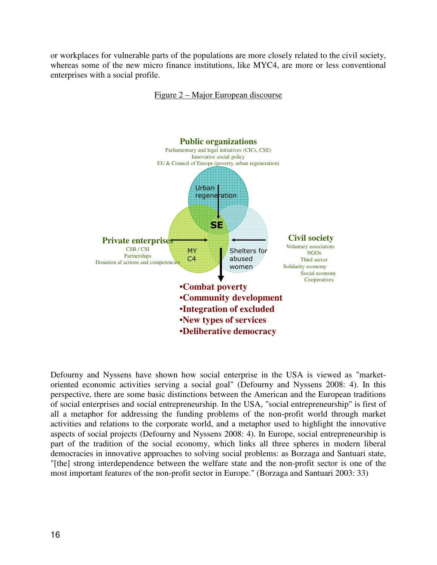or workplaces for vulnerable parts of the populations are more closely related to the civil society, whereas some of the new micro finance institutions, like MYC4, are more or less conventional enterprises with a social profile.

Figure 2 – Major European discourse



Defourny and Nyssens have shown how social enterprise in the USA is viewed as "marketoriented economic activities serving a social goal" (Defourny and Nyssens 2008: 4). In this perspective, there are some basic distinctions between the American and the European traditions of social enterprises and social entrepreneurship. In the USA, "social entrepreneurship" is first of all a metaphor for addressing the funding problems of the non-profit world through market activities and relations to the corporate world, and a metaphor used to highlight the innovative aspects of social projects (Defourny and Nyssens 2008: 4). In Europe, social entrepreneurship is part of the tradition of the social economy, which links all three spheres in modern liberal democracies in innovative approaches to solving social problems: as Borzaga and Santuari state, "[the] strong interdependence between the welfare state and the non-profit sector is one of the most important features of the non-profit sector in Europe." (Borzaga and Santuari 2003: 33)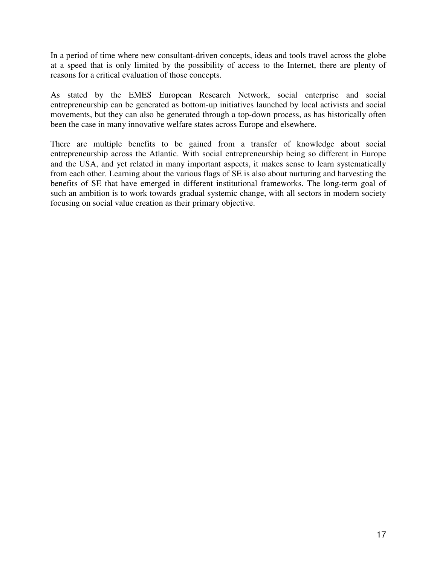In a period of time where new consultant-driven concepts, ideas and tools travel across the globe at a speed that is only limited by the possibility of access to the Internet, there are plenty of reasons for a critical evaluation of those concepts.

As stated by the EMES European Research Network, social enterprise and social entrepreneurship can be generated as bottom-up initiatives launched by local activists and social movements, but they can also be generated through a top-down process, as has historically often been the case in many innovative welfare states across Europe and elsewhere.

There are multiple benefits to be gained from a transfer of knowledge about social entrepreneurship across the Atlantic. With social entrepreneurship being so different in Europe and the USA, and yet related in many important aspects, it makes sense to learn systematically from each other. Learning about the various flags of SE is also about nurturing and harvesting the benefits of SE that have emerged in different institutional frameworks. The long-term goal of such an ambition is to work towards gradual systemic change, with all sectors in modern society focusing on social value creation as their primary objective.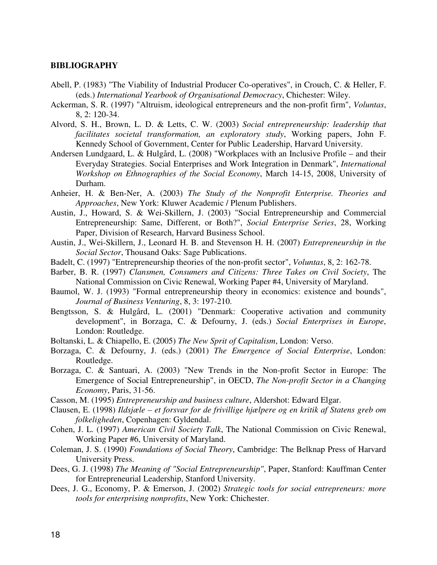#### **BIBLIOGRAPHY**

- Abell, P. (1983) "The Viability of Industrial Producer Co-operatives", in Crouch, C. & Heller, F. (eds.) *International Yearbook of Organisational Democracy*, Chichester: Wiley.
- Ackerman, S. R. (1997) "Altruism, ideological entrepreneurs and the non-profit firm", *Voluntas*, 8, 2: 120-34.
- Alvord, S. H., Brown, L. D. & Letts, C. W. (2003) *Social entrepreneurship: leadership that facilitates societal transformation, an exploratory study*, Working papers, John F. Kennedy School of Government, Center for Public Leadership, Harvard University.
- Andersen Lundgaard, L. & Hulgård, L. (2008) "Workplaces with an Inclusive Profile and their Everyday Strategies. Social Enterprises and Work Integration in Denmark", *International Workshop on Ethnographies of the Social Economy*, March 14-15, 2008, University of Durham.
- Anheier, H. & Ben-Ner, A. (2003) *The Study of the Nonprofit Enterprise. Theories and Approaches*, New York: Kluwer Academic / Plenum Publishers.
- Austin, J., Howard, S. & Wei-Skillern, J. (2003) "Social Entrepreneurship and Commercial Entrepreneurship: Same, Different, or Both?", *Social Enterprise Series*, 28, Working Paper, Division of Research, Harvard Business School.
- Austin, J., Wei-Skillern, J., Leonard H. B. and Stevenson H. H. (2007) *Entrepreneurship in the Social Sector*, Thousand Oaks: Sage Publications.
- Badelt, C. (1997) "Entrepreneurship theories of the non-profit sector", *Voluntas*, 8, 2: 162-78.
- Barber, B. R. (1997) *Clansmen, Consumers and Citizens: Three Takes on Civil Society*, The National Commission on Civic Renewal, Working Paper #4, University of Maryland.
- Baumol, W. J. (1993) "Formal entrepreneurship theory in economics: existence and bounds", *Journal of Business Venturing*, 8, 3: 197-210.
- Bengtsson, S. & Hulgård, L. (2001) "Denmark: Cooperative activation and community development", in Borzaga, C. & Defourny, J. (eds.) *Social Enterprises in Europe*, London: Routledge.
- Boltanski, L. & Chiapello, E. (2005) *The New Sprit of Capitalism*, London: Verso.
- Borzaga, C. & Defourny, J. (eds.) (2001) *The Emergence of Social Enterprise*, London: Routledge.
- Borzaga, C. & Santuari, A. (2003) "New Trends in the Non-profit Sector in Europe: The Emergence of Social Entrepreneurship", in OECD, *The Non-profit Sector in a Changing Economy*, Paris, 31-56.
- Casson, M. (1995) *Entrepreneurship and business culture*, Aldershot: Edward Elgar.
- Clausen, E. (1998) *Ildsjæle et forsvar for de frivillige hjælpere og en kritik af Statens greb om folkeligheden*, Copenhagen: Gyldendal.
- Cohen, J. L. (1997) *American Civil Society Talk*, The National Commission on Civic Renewal, Working Paper #6, University of Maryland.
- Coleman, J. S. (1990) *Foundations of Social Theory*, Cambridge: The Belknap Press of Harvard University Press.
- Dees, G. J. (1998) *The Meaning of "Social Entrepreneurship"*, Paper, Stanford: Kauffman Center for Entrepreneurial Leadership, Stanford University.
- Dees, J. G., Economy, P. & Emerson, J. (2002) *Strategic tools for social entrepreneurs: more tools for enterprising nonprofits*, New York: Chichester.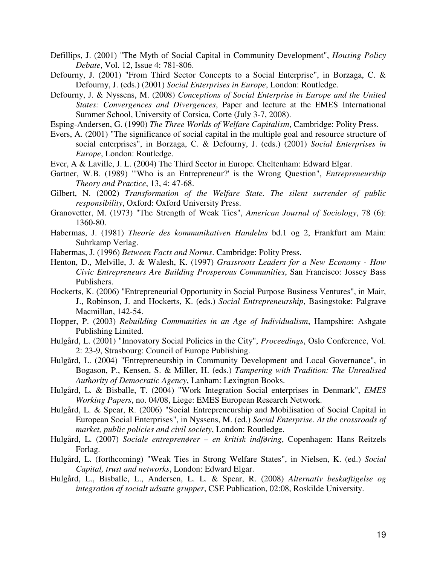Defillips, J. (2001) "The Myth of Social Capital in Community Development", *Housing Policy Debate*, Vol. 12, Issue 4: 781-806.

Defourny, J. (2001) "From Third Sector Concepts to a Social Enterprise", in Borzaga, C. & Defourny, J. (eds.) (2001) *Social Enterprises in Europe*, London: Routledge.

- Defourny, J. & Nyssens, M. (2008) *Conceptions of Social Enterprise in Europe and the United States: Convergences and Divergences*, Paper and lecture at the EMES International Summer School, University of Corsica, Corte (July 3-7, 2008).
- Esping-Andersen, G. (1990) *The Three Worlds of Welfare Capitalism*, Cambridge: Polity Press.
- Evers, A. (2001) "The significance of social capital in the multiple goal and resource structure of social enterprises", in Borzaga, C. & Defourny, J. (eds.) (2001) *Social Enterprises in Europe*, London: Routledge.
- Ever, A & Laville, J. L. (2004) The Third Sector in Europe. Cheltenham: Edward Elgar.
- Gartner, W.B. (1989) "'Who is an Entrepreneur?' is the Wrong Question", *Entrepreneurship Theory and Practice*, 13, 4: 47-68.
- Gilbert, N. (2002) *Transformation of the Welfare State. The silent surrender of public responsibility*, Oxford: Oxford University Press.
- Granovetter, M. (1973) "The Strength of Weak Ties", *American Journal of Sociology*, 78 (6): 1360-80.
- Habermas, J. (1981) *Theorie des kommunikativen Handelns* bd.1 og 2, Frankfurt am Main: Suhrkamp Verlag.
- Habermas, J. (1996) *Between Facts and Norms*. Cambridge: Polity Press.
- Henton, D., Melville, J. & Walesh, K. (1997) *Grassroots Leaders for a New Economy How Civic Entrepreneurs Are Building Prosperous Communities*, San Francisco: Jossey Bass Publishers.
- Hockerts, K. (2006) "Entrepreneurial Opportunity in Social Purpose Business Ventures", in Mair, J., Robinson, J. and Hockerts, K. (eds.) *Social Entrepreneurship*, Basingstoke: Palgrave Macmillan, 142-54.
- Hopper, P. (2003) *Rebuilding Communities in an Age of Individualism*, Hampshire: Ashgate Publishing Limited.
- Hulgård, L. (2001) "Innovatory Social Policies in the City", *Proceedings*, Oslo Conference, Vol. 2: 23-9, Strasbourg: Council of Europe Publishing.
- Hulgård, L. (2004) "Entrepreneurship in Community Development and Local Governance", in Bogason, P., Kensen, S. & Miller, H. (eds.) *Tampering with Tradition: The Unrealised Authority of Democratic Agency*, Lanham: Lexington Books.
- Hulgård, L. & Bisballe, T. (2004) "Work Integration Social enterprises in Denmark", *EMES Working Papers*, no. 04/08, Liege: EMES European Research Network.
- Hulgård, L. & Spear, R. (2006) "Social Entrepreneurship and Mobilisation of Social Capital in European Social Enterprises", in Nyssens, M. (ed.) *Social Enterprise. At the crossroads of market, public policies and civil society*, London: Routledge.
- Hulgård, L. (2007) *Sociale entreprenører en kritisk indføring*, Copenhagen: Hans Reitzels Forlag.
- Hulgård, L. (forthcoming) "Weak Ties in Strong Welfare States", in Nielsen, K. (ed.) *Social Capital, trust and networks*, London: Edward Elgar.
- Hulgård, L., Bisballe, L., Andersen, L. L. & Spear, R. (2008) *Alternativ beskæftigelse og integration af socialt udsatte grupper*, CSE Publication, 02:08, Roskilde University.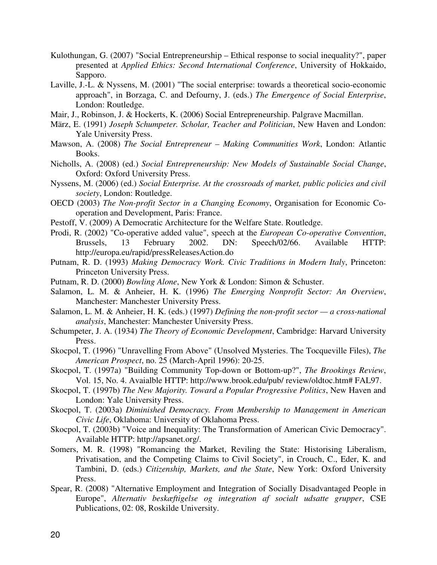- Kulothungan, G. (2007) "Social Entrepreneurship Ethical response to social inequality?", paper presented at *Applied Ethics: Second International Conference*, University of Hokkaido, Sapporo.
- Laville, J.-L. & Nyssens, M. (2001) "The social enterprise: towards a theoretical socio-economic approach", in Borzaga, C. and Defourny, J. (eds.) *The Emergence of Social Enterprise*, London: Routledge.
- Mair, J., Robinson, J. & Hockerts, K. (2006) Social Entrepreneurship. Palgrave Macmillan.
- März, E. (1991) *Joseph Schumpeter. Scholar, Teacher and Politician*, New Haven and London: Yale University Press.
- Mawson, A. (2008) *The Social Entrepreneur Making Communities Work*, London: Atlantic Books.
- Nicholls, A. (2008) (ed.) *Social Entrepreneurship: New Models of Sustainable Social Change*, Oxford: Oxford University Press.
- Nyssens, M. (2006) (ed.) *Social Enterprise. At the crossroads of market, public policies and civil society*, London: Routledge.
- OECD (2003) *The Non-profit Sector in a Changing Economy*, Organisation for Economic Cooperation and Development, Paris: France.
- Pestoff, V. (2009) A Democratic Architecture for the Welfare State. Routledge.
- Prodi, R. (2002) "Co-operative added value", speech at the *European Co-operative Convention*, Brussels, 13 February 2002. DN: Speech/02/66. Available HTTP: http://europa.eu/rapid/pressReleasesAction.do
- Putnam, R. D. (1993) *Making Democracy Work. Civic Traditions in Modern Italy*, Princeton: Princeton University Press.
- Putnam, R. D. (2000) *Bowling Alone*, New York & London: Simon & Schuster.
- Salamon, L. M. & Anheier, H. K. (1996) *The Emerging Nonprofit Sector: An Overview*, Manchester: Manchester University Press.
- Salamon, L. M. & Anheier, H. K. (eds.) (1997) *Defining the non-profit sector a cross-national analysis*, Manchester: Manchester University Press.
- Schumpeter, J. A. (1934) *The Theory of Economic Development*, Cambridge: Harvard University Press.
- Skocpol, T. (1996) "Unravelling From Above" (Unsolved Mysteries. The Tocqueville Files), *The American Prospect*, no. 25 (March-April 1996): 20-25.
- Skocpol, T. (1997a) "Building Community Top-down or Bottom-up?", *The Brookings Review*, Vol. 15, No. 4. Avaialble HTTP: http://www.brook.edu/pub/ review/oldtoc.htm# FAL97.
- Skocpol, T. (1997b) *The New Majority. Toward a Popular Progressive Politics*, New Haven and London: Yale University Press.
- Skocpol, T. (2003a) *Diminished Democracy. From Membership to Management in American Civic Life*, Oklahoma: University of Oklahoma Press.
- Skocpol, T. (2003b) "Voice and Inequality: The Transformation of American Civic Democracy". Available HTTP: http://apsanet.org/.
- Somers, M. R. (1998) "Romancing the Market, Reviling the State: Historising Liberalism, Privatisation, and the Competing Claims to Civil Society", in Crouch, C., Eder, K. and Tambini, D. (eds.) *Citizenship, Markets, and the State*, New York: Oxford University Press.
- Spear, R. (2008) "Alternative Employment and Integration of Socially Disadvantaged People in Europe", *Alternativ beskæftigelse og integration af socialt udsatte grupper*, CSE Publications, 02: 08, Roskilde University.